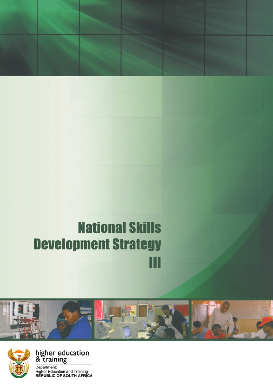# **National Skills Development Strategy** Ш





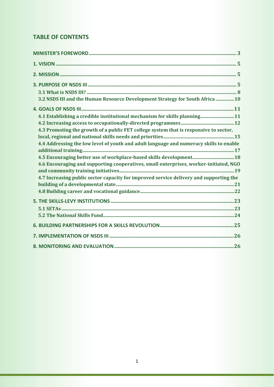# **TABLE OF CONTENTS**

| 3.2 NSDS III and the Human Resource Development Strategy for South Africa  10          |  |
|----------------------------------------------------------------------------------------|--|
|                                                                                        |  |
| 4.1 Establishing a credible institutional mechanism for skills planning 11             |  |
|                                                                                        |  |
| 4.3 Promoting the growth of a public FET college system that is responsive to sector,  |  |
|                                                                                        |  |
| 4.4 Addressing the low level of youth and adult language and numeracy skills to enable |  |
|                                                                                        |  |
| 4.5 Encouraging better use of workplace-based skills development 18                    |  |
| 4.6 Encouraging and supporting cooperatives, small enterprises, worker-initiated, NGO  |  |
|                                                                                        |  |
| 4.7 Increasing public sector capacity for improved service delivery and supporting the |  |
|                                                                                        |  |
|                                                                                        |  |
|                                                                                        |  |
|                                                                                        |  |
|                                                                                        |  |
|                                                                                        |  |
|                                                                                        |  |
|                                                                                        |  |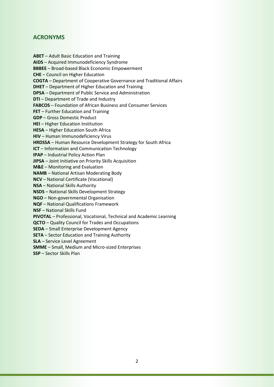## **ACRONYMS**

**ABET** – Adult Basic Education and Training **AIDS** – Acquired Immunodeficiency Syndrome **BBBEE** – Broad-based Black Economic Empowerment **CHE** – Council on Higher Education **COGTA** – Department of Cooperative Governance and Traditional Affairs **DHET** – Department of Higher Education and Training **DPSA** – Department of Public Service and Administration **DTI** – Department of Trade and Industry **FABCOS** – Foundation of African Business and Consumer Services **FET** – Further Education and Training **GDP** – Gross Domestic Product **HEI** – Higher Education Institution **HESA** – Higher Education South Africa **HIV** – Human Immunodeficiency Virus **HRDSSA** – Human Resource Development Strategy for South Africa **ICT** – Information and Communication Technology **IPAP** – Industrial Policy Action Plan **JIPSA** – Joint Initiative on Priority Skills Acquisition **M&E** – Monitoring and Evaluation **NAMB** – National Artisan Moderating Body **NCV** – National Certificate (Vocational) **NSA** – National Skills Authority **NSDS** – National Skills Development Strategy **NGO** – Non-governmental Organisation **NQF** – National Qualifications Framework **NSF** – National Skills Fund **PIVOTAL** – Professional, Vocational, Technical and Academic Learning **QCTO** – Quality Council for Trades and Occupations **SEDA** – Small Enterprise Development Agency **SETA** – Sector Education and Training Authority **SLA** – Service Level Agreement **SMME** – Small, Medium and Micro-sized Enterprises **SSP** – Sector Skills Plan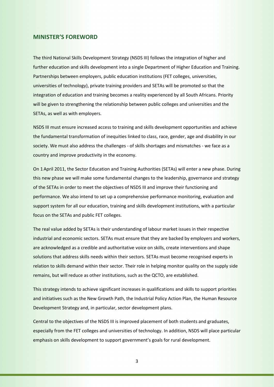#### **MINISTER'S FOREWORD**

The third National Skills Development Strategy (NSDS III) follows the integration of higher and further education and skills development into a single Department of Higher Education and Training. Partnerships between employers, public education institutions (FET colleges, universities, universities of technology), private training providers and SETAs will be promoted so that the integration of education and training becomes a reality experienced by all South Africans. Priority will be given to strengthening the relationship between public colleges and universities and the SETAs, as well as with employers.

NSDS III must ensure increased access to training and skills development opportunities and achieve the fundamental transformation of inequities linked to class, race, gender, age and disability in our society. We must also address the challenges - of skills shortages and mismatches - we face as a country and improve productivity in the economy.

On 1April 2011, the Sector Education and Training Authorities (SETAs) will enter a new phase. During this new phase we will make some fundamental changes to the leadership, governance and strategy of the SETAs in order to meet the objectives of NSDS III and improve their functioning and performance. We also intend to set up a comprehensive performance monitoring, evaluation and support system for all our education, training and skills development institutions, with a particular focus on the SETAs and public FET colleges.

The real value added by SETAs is their understanding of labour market issues in their respective industrial and economic sectors. SETAs must ensure that they are backed by employers and workers, are acknowledged as a credible and authoritative voice on skills, create interventions and shape solutions that address skills needs within their sectors. SETAs must become recognised experts in relation to skills demand within their sector. Their role in helping monitor quality on the supply side remains, but will reduce as other institutions, such as the QCTO, are established.

This strategy intends to achieve significant increases in qualifications and skills to support priorities and initiatives such as the New Growth Path, the Industrial Policy Action Plan, the Human Resource Development Strategy and, in particular, sector development plans.

Central to the objectives of the NSDS III is improved placement of both students and graduates, especially from the FET colleges and universities of technology. In addition, NSDS will place particular emphasis on skills development to support government's goals for rural development.

3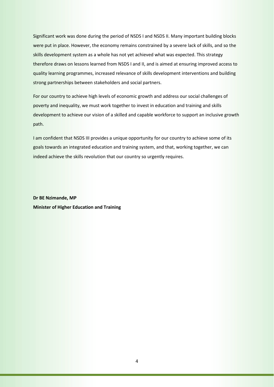Significant work was done during the period of NSDS I and NSDS II. Many important building blocks were put in place. However, the economy remains constrained by a severe lack of skills, and so the skills development system as a whole has not yet achieved what was expected. This strategy therefore draws on lessons learned from NSDS I and II, and is aimed at ensuring improved access to quality learning programmes, increased relevance of skills development interventions and building strong partnerships between stakeholders and social partners.

For our country to achieve high levels of economic growth and address our social challenges of poverty and inequality, we must work together to invest in education and training and skills development to achieve our vision of a skilled and capable workforce to support an inclusive growth path.

I am confident that NSDS III provides a unique opportunity for our country to achieve some of its goals towards an integrated education and training system, and that, working together, we can indeed achieve the skills revolution that our country so urgently requires.

**Dr BE Nzimande, MP Minister of Higher Education and Training**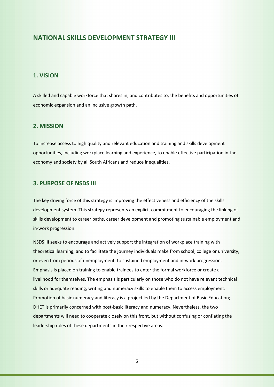# **NATIONAL SKILLS DEVELOPMENT STRATEGY III**

#### **1. VISION**

A skilled and capable workforce that shares in, and contributes to, the benefits and opportunities of economic expansion and an inclusive growth path.

#### **2. MISSION**

To increase access to high quality and relevant education and training and skills development opportunities, including workplace learning and experience, to enable effective participation in the economy and society by all South Africans and reduce inequalities.

#### **3. PURPOSE OF NSDS III**

The key driving force of this strategy is improving the effectiveness and efficiency of the skills development system. This strategy represents an explicit commitment to encouraging the linking of skills development to career paths, career development and promoting sustainable employment and in-work progression.

NSDS III seeks to encourage and actively support the integration of workplace training with theoretical learning, and to facilitate the journey individuals make from school, college or university, or even from periods of unemployment, to sustained employment and in-work progression. Emphasis is placed on training to enable trainees to enter the formal workforce or create a livelihood for themselves. The emphasis is particularly on those who do not have relevant technical skills or adequate reading, writing and numeracy skills to enable them to access employment. Promotion of basic numeracy and literacy is a project led by the Department of Basic Education; DHET is primarily concerned with post-basic literacy and numeracy. Nevertheless, the two departments will need to cooperate closely on this front, but without confusing or conflating the leadership roles of these departments in their respective areas.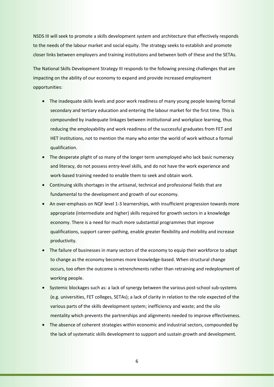NSDS III will seek to promote a skills development system and architecture that effectively responds to the needs of the labour market and social equity. The strategy seeks to establish and promote closer links between employers and training institutions and between both of these and the SETAs.

The National Skills Development Strategy III responds to the following pressing challenges that are impacting on the ability of our economy to expand and provide increased employment opportunities:

- The inadequate skills levels and poor work readiness of many young people leaving formal secondary and tertiary education and entering the labour market for the first time. This is compounded by inadequate linkages between institutional and workplace learning, thus reducing the employability and work readiness of the successful graduates from FET and HET institutions, not to mention the many who enter the world of work without a formal qualification.
- The desperate plight of so many of the longer term unemployed who lack basic numeracy and literacy, do not possess entry-level skills, and do not have the work experience and work-based training needed to enable them to seek and obtain work.
- Continuing skills shortages in the artisanal, technical and professional fields that are fundamental to the development and growth of our economy.
- An over-emphasis on NQF level 1-3 learnerships, with insufficient progression towards more appropriate (intermediate and higher) skills required for growth sectors in a knowledge economy. There is a need for much more substantial programmes that improve qualifications, support career-pathing, enable greater flexibility and mobility and increase productivity.
- The failure of businesses in many sectors of the economy to equip their workforce to adapt to change as the economy becomes more knowledge-based. When structural change occurs, too often the outcome is retrenchments rather than retraining and redeployment of working people.
- Systemic blockages such as: a lack of synergy between the various post-school sub-systems (e.g. universities, FET colleges, SETAs); a lack of clarity in relation to the role expected of the various parts of the skills development system; inefficiency and waste; and the silo mentality which prevents the partnerships and alignments needed to improve effectiveness.
- The absence of coherent strategies within economic and industrial sectors, compounded by the lack of systematic skills development to support and sustain growth and development.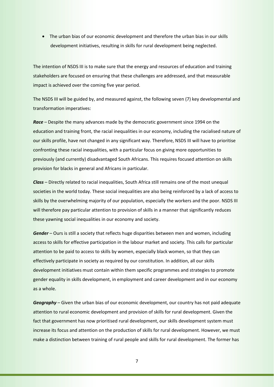• The urban bias of our economic development and therefore the urban bias in our skills development initiatives, resulting in skills for rural development being neglected.

The intention of NSDS III is to make sure that the energy and resources of education and training stakeholders are focused on ensuring that these challenges are addressed, and that measurable impact is achieved over the coming five year period.

The NSDS III will be guided by, and measured against, the following seven (7) key developmental and transformation imperatives:

*Race* – Despite the many advances made by the democratic government since 1994 on the education and training front, the racial inequalities in our economy, including the racialised nature of our skills profile, have not changed in any significant way. Therefore, NSDS III will have to prioritise confronting these racial inequalities, with a particular focus on giving more opportunities to previously (and currently) disadvantaged South Africans. This requires focused attention on skills provision for blacks in general and Africans in particular.

*Class* – Directly related to racial inequalities, South Africa still remains one of the most unequal societies in the world today. These social inequalities are also being reinforced by a lack of access to skills by the overwhelming majority of our population, especially the workers and the poor. NSDS III will therefore pay particular attention to provision of skills in a manner that significantly reduces these yawning social inequalities in our economy and society.

*Gender* – Ours is still a society that reflects huge disparities between men and women, including access to skills for effective participation in the labour market and society. This calls for particular attention to be paid to access to skills by women, especially black women, so that they can effectively participate in society as required by our constitution. In addition, all our skills development initiatives must contain within them specific programmes and strategies to promote gender equality in skills development, in employment and career development and in our economy as a whole.

*Geography* – Given the urban bias of our economic development, our country has not paid adequate attention to rural economic development and provision of skills for rural development. Given the fact that government has now prioritised rural development, our skills development system must increase its focus and attention on the production of skills for rural development. However, we must make a distinction between training of rural people and skills for rural development. The former has

7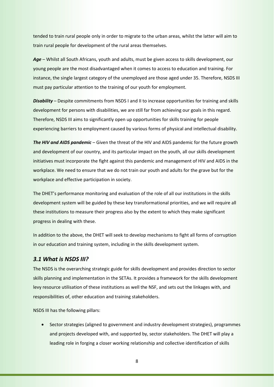tended to train rural people only in order to migrate to the urban areas, whilst the latter will aim to train rural people for development of the rural areas themselves.

*Age* – Whilst all South Africans, youth and adults, must be given access to skills development, our young people are the most disadvantaged when it comes to access to education and training. For instance, the single largest category of the unemployed are those aged under 35. Therefore, NSDS III must pay particular attention to the training of our youth for employment.

*Disability* – Despite commitments from NSDS I and II to increase opportunities for training and skills development for persons with disabilities, we are still far from achieving our goals in this regard. Therefore, NSDS III aims to significantly open up opportunities for skills training for people experiencing barriers to employment caused by various forms of physical and intellectual disability.

*The HIV and AIDS pandemic* – Given the threat of the HIV and AIDS pandemic for the future growth and development of our country, and its particular impact on the youth, all our skills development initiatives must incorporate the fight against this pandemic and management of HIV and AIDS in the workplace. We need to ensure that we do not train our youth and adults for the grave but for the workplace and effective participation in society.

The DHET's performance monitoring and evaluation of the role of all our institutions in the skills development system will be guided by these key transformational priorities, and we will require all these institutions to measure their progress also by the extent to which they make significant progress in dealing with these.

In addition to the above, the DHET will seek to develop mechanisms to fight all forms of corruption in our education and training system, including in the skills development system.

#### *3.1 What is NSDS III?*

The NSDS is the overarching strategic guide for skills development and provides direction to sector skills planning and implementation in the SETAs. It provides a framework for the skills development levy resource utilisation of these institutions as well the NSF, and sets out the linkages with, and responsibilities of, other education and training stakeholders.

NSDS III has the following pillars:

• Sector strategies (aligned to government and industry development strategies), programmes and projects developed with, and supported by, sector stakeholders. The DHET will play a leading role in forging a closer working relationship and collective identification of skills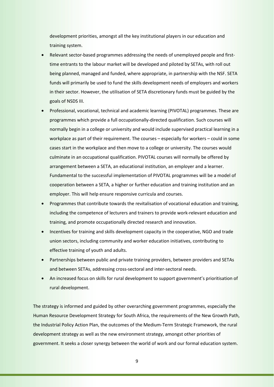development priorities, amongst all the key institutional players in our education and training system.

- Relevant sector-based programmes addressing the needs of unemployed people and firsttime entrants to the labour market will be developed and piloted by SETAs, with roll out being planned, managed and funded, where appropriate, in partnership with the NSF. SETA funds will primarily be used to fund the skills development needs of employers and workers in their sector. However, the utilisation of SETA discretionary funds must be guided by the goals of NSDS III.
- Professional, vocational, technical and academic learning (PIVOTAL) programmes. These are programmes which provide a full occupationally-directed qualification. Such courses will normally begin in a college or university and would include supervised practical learning in a workplace as part of their requirement. The courses – especially for workers – could in some cases start in the workplace and then move to a college or university. The courses would culminate in an occupational qualification. PIVOTAL courses will normally be offered by arrangement between a SETA, an educational institution, an employer and a learner. Fundamental to the successful implementation of PIVOTAL programmes will be a model of cooperation between a SETA, a higher or further education and training institution and an employer. This will help ensure responsive curricula and courses.
- Programmes that contribute towards the revitalisation of vocational education and training, including the competence of lecturers and trainers to provide work-relevant education and training, and promote occupationally directed research and innovation.
- Incentives for training and skills development capacity in the cooperative, NGO and trade union sectors, including community and worker education initiatives, contributing to effective training of youth and adults.
- Partnerships between public and private training providers, between providers and SETAs and between SETAs, addressing cross-sectoral and inter-sectoral needs.
- An increased focus on skills for rural development to support government's prioritisation of rural development.

The strategy is informed and guided by other overarching government programmes, especially the Human Resource Development Strategy for South Africa, the requirements of the New Growth Path, the Industrial Policy Action Plan, the outcomes of the Medium-Term Strategic Framework, the rural development strategy as well as the new environment strategy, amongst other priorities of government. It seeks a closer synergy between the world of work and our formal education system.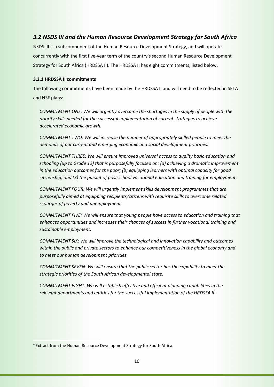# *3.2 NSDS III and the Human Resource Development Strategy for South Africa*

NSDS III is a subcomponent of the Human Resource Development Strategy, and will operate concurrently with the first five-year term of the country's second Human Resource Development Strategy for South Africa (HRDSSA II). The HRDSSA II has eight commitments, listed below.

#### **3.2.1 HRDSSA II commitments**

The following commitments have been made by the HRDSSA II and will need to be reflected in SETA and NSF plans:

*COMMITMENT ONE: We will urgently overcome the shortages in the supply of people with the priority skills needed for the successful implementation of current strategies to achieve accelerated economic growth.* 

*COMMITMENT TWO: We will increase the number of appropriately skilled people to meet the demands of our current and emerging economic and social development priorities.* 

*COMMITMENT THREE: We will ensure improved universal access to quality basic education and schooling (up to Grade 12) that is purposefully focused on: (a) achieving a dramatic improvement in the education outcomes for the poor; (b) equipping learners with optimal capacity for good citizenship; and (3) the pursuit of post-school vocational education and training for employment.* 

*COMMITMENT FOUR: We will urgently implement skills development programmes that are purposefully aimed at equipping recipients/citizens with requisite skills to overcome related scourges of poverty and unemployment.* 

*COMMITMENT FIVE: We will ensure that young people have access to education and training that enhances opportunities and increases their chances of success in further vocational training and sustainable employment.* 

*COMMITMENT SIX: We will improve the technological and innovation capability and outcomes within the public and private sectors to enhance our competitiveness in the global economy and to meet our human development priorities.* 

*COMMITMENT SEVEN: We will ensure that the public sector has the capability to meet the strategic priorities of the South African developmental state.* 

*COMMITMENT EIGHT: We will establish effective and efficient planning capabilities in the*  relevant departments and entities for the successful implementation of the HRDSSA II<sup>1</sup>.

 $\overline{a}$ 

 $1$  Extract from the Human Resource Development Strategy for South Africa.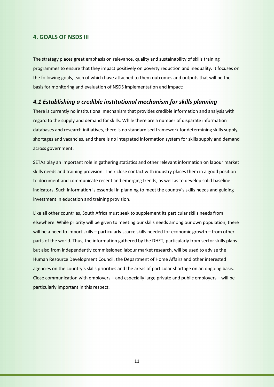#### **4. GOALS OF NSDS III**

The strategy places great emphasis on relevance, quality and sustainability of skills training programmes to ensure that they impact positively on poverty reduction and inequality. It focuses on the following goals, each of which have attached to them outcomes and outputs that will be the basis for monitoring and evaluation of NSDS implementation and impact:

## *4.1 Establishing a credible institutional mechanism for skills planning*

There is currently no institutional mechanism that provides credible information and analysis with regard to the supply and demand for skills. While there are a number of disparate information databases and research initiatives, there is no standardised framework for determining skills supply, shortages and vacancies, and there is no integrated information system for skills supply and demand across government.

SETAs play an important role in gathering statistics and other relevant information on labour market skills needs and training provision. Their close contact with industry places them in a good position to document and communicate recent and emerging trends, as well as to develop solid baseline indicators. Such information is essential in planning to meet the country's skills needs and guiding investment in education and training provision.

Like all other countries, South Africa must seek to supplement its particular skills needs from elsewhere. While priority will be given to meeting our skills needs among our own population, there will be a need to import skills – particularly scarce skills needed for economic growth – from other parts of the world. Thus, the information gathered by the DHET, particularly from sector skills plans but also from independently commissioned labour market research, will be used to advise the Human Resource Development Council, the Department of Home Affairs and other interested agencies on the country's skills priorities and the areas of particular shortage on an ongoing basis. Close communication with employers – and especially large private and public employers – will be particularly important in this respect.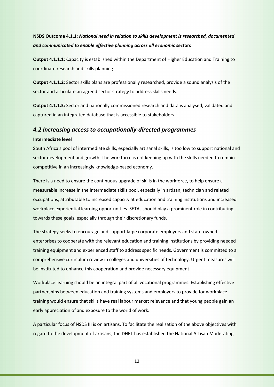# **NSDS Outcome 4.1.1:** *National need in relation to skills development is researched, documented and communicated to enable effective planning across all economic sect***ors**

**Output 4.1.1.1:** Capacity is established within the Department of Higher Education and Training to coordinate research and skills planning.

**Output 4.1.1.2:** Sector skills plans are professionally researched, provide a sound analysis of the sector and articulate an agreed sector strategy to address skills needs.

**Output 4.1.1.3:** Sector and nationally commissioned research and data is analysed, validated and captured in an integrated database that is accessible to stakeholders.

#### *4.2 Increasing access to occupationally-directed programmes*

#### **Intermediate level**

South Africa's pool of intermediate skills, especially artisanal skills, is too low to support national and sector development and growth. The workforce is not keeping up with the skills needed to remain competitive in an increasingly knowledge-based economy.

There is a need to ensure the continuous upgrade of skills in the workforce, to help ensure a measurable increase in the intermediate skills pool, especially in artisan, technician and related occupations, attributable to increased capacity at education and training institutions and increased workplace experiential learning opportunities. SETAs should play a prominent role in contributing towards these goals, especially through their discretionary funds.

The strategy seeks to encourage and support large corporate employers and state-owned enterprises to cooperate with the relevant education and training institutions by providing needed training equipment and experienced staff to address specific needs. Government is committed to a comprehensive curriculum review in colleges and universities of technology. Urgent measures will be instituted to enhance this cooperation and provide necessary equipment.

Workplace learning should be an integral part of all vocational programmes. Establishing effective partnerships between education and training systems and employers to provide for workplace training would ensure that skills have real labour market relevance and that young people gain an early appreciation of and exposure to the world of work.

A particular focus of NSDS III is on artisans. To facilitate the realisation of the above objectives with regard to the development of artisans, the DHET has established the National Artisan Moderating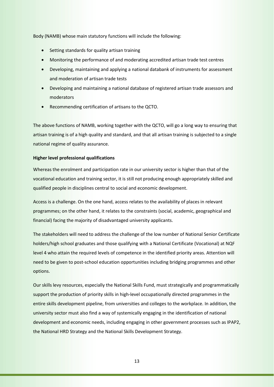Body (NAMB) whose main statutory functions will include the following:

- Setting standards for quality artisan training
- Monitoring the performance of and moderating accredited artisan trade test centres
- Developing, maintaining and applying a national databank of instruments for assessment and moderation of artisan trade tests
- Developing and maintaining a national database of registered artisan trade assessors and moderators
- Recommending certification of artisans to the QCTO.

The above functions of NAMB, working together with the QCTO, will go a long way to ensuring that artisan training is of a high quality and standard, and that all artisan training is subjected to a single national regime of quality assurance.

#### **Higher level professional qualifications**

Whereas the enrolment and participation rate in our university sector is higher than that of the vocational education and training sector, it is still not producing enough appropriately skilled and qualified people in disciplines central to social and economic development.

Access is a challenge. On the one hand, access relates to the availability of places in relevant programmes; on the other hand, it relates to the constraints (social, academic, geographical and financial) facing the majority of disadvantaged university applicants.

The stakeholders will need to address the challenge of the low number of National Senior Certificate holders/high school graduates and those qualifying with a National Certificate (Vocational) at NQF level 4 who attain the required levels of competence in the identified priority areas. Attention will need to be given to post-school education opportunities including bridging programmes and other options.

Our skills levy resources, especially the National Skills Fund, must strategically and programmatically support the production of priority skills in high-level occupationally directed programmes in the entire skills development pipeline, from universities and colleges to the workplace. In addition, the university sector must also find a way of systemically engaging in the identification of national development and economic needs, including engaging in other government processes such as IPAP2, the National HRD Strategy and the National Skills Development Strategy.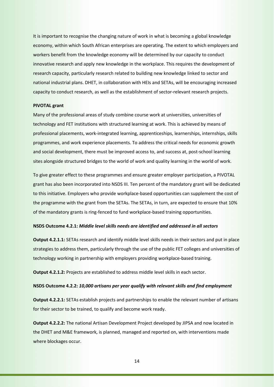It is important to recognise the changing nature of work in what is becoming a global knowledge economy, within which South African enterprises are operating. The extent to which employers and workers benefit from the knowledge economy will be determined by our capacity to conduct innovative research and apply new knowledge in the workplace. This requires the development of research capacity, particularly research related to building new knowledge linked to sector and national industrial plans. DHET, in collaboration with HEIs and SETAs, will be encouraging increased capacity to conduct research, as well as the establishment of sector-relevant research projects.

#### **PIVOTAL grant**

Many of the professional areas of study combine course work at universities, universities of technology and FET institutions with structured learning at work. This is achieved by means of professional placements, work-integrated learning, apprenticeships, learnerships, internships, skills programmes, and work experience placements. To address the critical needs for economic growth and social development, there must be improved access to, and success at, post-school learning sites alongside structured bridges to the world of work and quality learning in the world of work.

To give greater effect to these programmes and ensure greater employer participation, a PIVOTAL grant has also been incorporated into NSDS III. Ten percent of the mandatory grant will be dedicated to this initiative. Employers who provide workplace-based opportunities can supplement the cost of the programme with the grant from the SETAs. The SETAs, in turn, are expected to ensure that 10% of the mandatory grants is ring-fenced to fund workplace-based training opportunities.

#### **NSDS Outcome 4.2.1:** *Middle level skills needs are identified and addressed in all sectors*

**Output 4.2.1.1:** SETAs research and identify middle level skills needs in their sectors and put in place strategies to address them, particularly through the use of the public FET colleges and universities of technology working in partnership with employers providing workplace-based training.

**Output 4.2.1.2:** Projects are established to address middle level skills in each sector.

#### **NSDS Outcome 4.2.2:** *10,000 artisans per year qualify with relevant skills and find employment*

**Output 4.2.2.1:** SETAs establish projects and partnerships to enable the relevant number of artisans for their sector to be trained, to qualify and become work ready.

**Output 4.2.2.2:** The national Artisan Development Project developed by JIPSA and now located in the DHET and M&E framework, is planned, managed and reported on, with interventions made where blockages occur.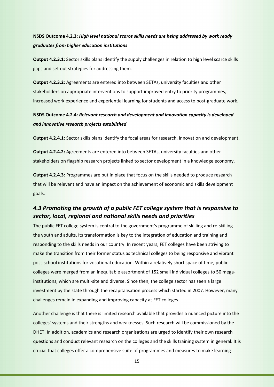# **NSDS Outcome 4.2.3:** *High level national scarce skills needs are being addressed by work ready graduates from higher education institutions*

**Output 4.2.3.1:** Sector skills plans identify the supply challenges in relation to high level scarce skills gaps and set out strategies for addressing them.

**Output 4.2.3.2:** Agreements are entered into between SETAs, university faculties and other stakeholders on appropriate interventions to support improved entry to priority programmes, increased work experience and experiential learning for students and access to post-graduate work.

# **NSDS Outcome 4.2.4:** *Relevant research and development and innovation capacity is developed and innovative research projects established*

**Output 4.2.4.1:** Sector skills plans identify the focal areas for research, innovation and development.

**Output 4.2.4.2:** Agreements are entered into between SETAs, university faculties and other stakeholders on flagship research projects linked to sector development in a knowledge economy.

**Output 4.2.4.3:** Programmes are put in place that focus on the skills needed to produce research that will be relevant and have an impact on the achievement of economic and skills development goals.

# *4.3 Promoting the growth of a public FET college system that is responsive to sector, local, regional and national skills needs and priorities*

The public FET college system is central to the government's programme of skilling and re-skilling the youth and adults. Its transformation is key to the integration of education and training and responding to the skills needs in our country. In recent years, FET colleges have been striving to make the transition from their former status as technical colleges to being responsive and vibrant post-school institutions for vocational education. Within a relatively short space of time, public colleges were merged from an inequitable assortment of 152 small individual colleges to 50 megainstitutions, which are multi-site and diverse. Since then, the college sector has seen a large investment by the state through the recapitalisation process which started in 2007. However, many challenges remain in expanding and improving capacity at FET colleges.

Another challenge is that there is limited research available that provides a nuanced picture into the colleges' systems and their strengths and weaknesses. Such research will be commissioned by the DHET. In addition, academics and research organisations are urged to identify their own research questions and conduct relevant research on the colleges and the skills training system in general. It is crucial that colleges offer a comprehensive suite of programmes and measures to make learning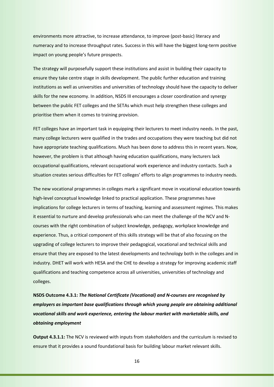environments more attractive, to increase attendance, to improve (post-basic) literacy and numeracy and to increase throughput rates. Success in this will have the biggest long-term positive impact on young people's future prospects.

The strategy will purposefully support these institutions and assist in building their capacity to ensure they take centre stage in skills development. The public further education and training institutions as well as universities and universities of technology should have the capacity to deliver skills for the new economy. In addition, NSDS III encourages a closer coordination and synergy between the public FET colleges and the SETAs which must help strengthen these colleges and prioritise them when it comes to training provision.

FET colleges have an important task in equipping their lecturers to meet industry needs. In the past, many college lecturers were qualified in the trades and occupations they were teaching but did not have appropriate teaching qualifications. Much has been done to address this in recent years. Now, however, the problem is that although having education qualifications, many lecturers lack occupational qualifications, relevant occupational work experience and industry contacts. Such a situation creates serious difficulties for FET colleges' efforts to align programmes to industry needs.

The new vocational programmes in colleges mark a significant move in vocational education towards high-level conceptual knowledge linked to practical application. These programmes have implications for college lecturers in terms of teaching, learning and assessment regimes. This makes it essential to nurture and develop professionals who can meet the challenge of the NCV and Ncourses with the right combination of subject knowledge, pedagogy, workplace knowledge and experience. Thus, a critical component of this skills strategy will be that of also focusing on the upgrading of college lecturers to improve their pedagogical, vocational and technical skills and ensure that they are exposed to the latest developments and technology both in the colleges and in industry. DHET will work with HESA and the CHE to develop a strategy for improving academic staff qualifications and teaching competence across all universities, universities of technology and colleges.

**NSDS Outcome 4.3.1:** *The National Certificate (Vocational) and N-courses are recognised by employers as important base qualifications through which young people are obtaining additional vocational skills and work experience, entering the labour market with marketable skills, and obtaining employment* 

**Output 4.3.1.1:** The NCV is reviewed with inputs from stakeholders and the curriculum is revised to ensure that it provides a sound foundational basis for building labour market relevant skills.

16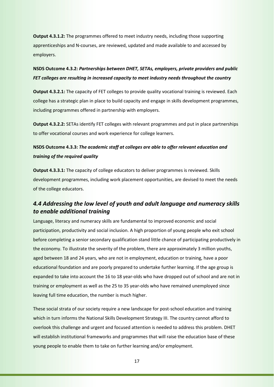**Output 4.3.1.2:** The programmes offered to meet industry needs, including those supporting apprenticeships and N-courses, are reviewed, updated and made available to and accessed by employers.

# **NSDS Outcome 4.3.2:** *Partnerships between DHET, SETAs, employers, private providers and public FET colleges are resulting in increased capacity to meet industry needs throughout the country*

**Output 4.3.2.1:** The capacity of FET colleges to provide quality vocational training is reviewed. Each college has a strategic plan in place to build capacity and engage in skills development programmes, including programmes offered in partnership with employers.

**Output 4.3.2.2:** SETAs identify FET colleges with relevant programmes and put in place partnerships to offer vocational courses and work experience for college learners.

# **NSDS Outcome 4.3.3:** *The academic staff at colleges are able to offer relevant education and training of the required quality*

**Output 4.3.3.1:** The capacity of college educators to deliver programmes is reviewed. Skills development programmes, including work placement opportunities, are devised to meet the needs of the college educators.

# *4.4 Addressing the low level of youth and adult language and numeracy skills to enable additional training*

Language, literacy and numeracy skills are fundamental to improved economic and social participation, productivity and social inclusion. A high proportion of young people who exit school before completing a senior secondary qualification stand little chance of participating productively in the economy. To illustrate the severity of the problem, there are approximately 3 million youths, aged between 18 and 24 years, who are not in employment, education or training, have a poor educational foundation and are poorly prepared to undertake further learning. If the age group is expanded to take into account the 16 to 18 year-olds who have dropped out of school and are not in training or employment as well as the 25 to 35 year-olds who have remained unemployed since leaving full time education, the number is much higher.

These social strata of our society require a new landscape for post-school education and training which in turn informs the National Skills Development Strategy III. The country cannot afford to overlook this challenge and urgent and focused attention is needed to address this problem. DHET will establish institutional frameworks and programmes that will raise the education base of these young people to enable them to take on further learning and/or employment.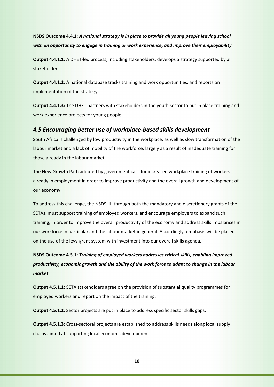**NSDS Outcome 4.4.1:** *A national strategy is in place to provide all young people leaving school with an opportunity to engage in training or work experience, and improve their employability*

**Output 4.4.1.1:** A DHET-led process, including stakeholders, develops a strategy supported by all stakeholders.

**Output 4.4.1.2:** A national database tracks training and work opportunities, and reports on implementation of the strategy.

**Output 4.4.1.3:** The DHET partners with stakeholders in the youth sector to put in place training and work experience projects for young people.

## *4.5 Encouraging better use of workplace-based skills development*

South Africa is challenged by low productivity in the workplace, as well as slow transformation of the labour market and a lack of mobility of the workforce, largely as a result of inadequate training for those already in the labour market.

The New Growth Path adopted by government calls for increased workplace training of workers already in employment in order to improve productivity and the overall growth and development of our economy.

To address this challenge, the NSDS III, through both the mandatory and discretionary grants of the SETAs, must support training of employed workers, and encourage employers to expand such training, in order to improve the overall productivity of the economy and address skills imbalances in our workforce in particular and the labour market in general. Accordingly, emphasis will be placed on the use of the levy-grant system with investment into our overall skills agenda.

# **NSDS Outcome 4.5.1:** *Training of employed workers addresses critical skills, enabling improved productivity, economic growth and the ability of the work force to adapt to change in the labour market*

**Output 4.5.1.1:** SETA stakeholders agree on the provision of substantial quality programmes for employed workers and report on the impact of the training.

**Output 4.5.1.2:** Sector projects are put in place to address specific sector skills gaps.

**Output 4.5.1.3:** Cross-sectoral projects are established to address skills needs along local supply chains aimed at supporting local economic development.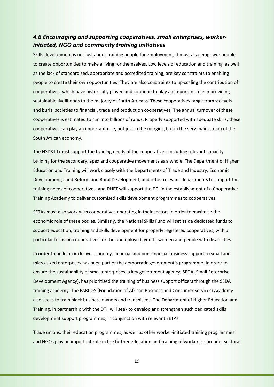# *4.6 Encouraging and supporting cooperatives, small enterprises, workerinitiated, NGO and community training initiatives*

Skills development is not just about training people for employment; it must also empower people to create opportunities to make a living for themselves. Low levels of education and training, as well as the lack of standardised, appropriate and accredited training, are key constraints to enabling people to create their own opportunities. They are also constraints to up-scaling the contribution of cooperatives, which have historically played and continue to play an important role in providing sustainable livelihoods to the majority of South Africans. These cooperatives range from stokvels and burial societies to financial, trade and production cooperatives. The annual turnover of these cooperatives is estimated to run into billions of rands. Properly supported with adequate skills, these cooperatives can play an important role, not just in the margins, but in the very mainstream of the South African economy.

The NSDS III must support the training needs of the cooperatives, including relevant capacity building for the secondary, apex and cooperative movements as a whole. The Department of Higher Education and Training will work closely with the Departments of Trade and Industry, Economic Development, Land Reform and Rural Development, and other relevant departments to support the training needs of cooperatives, and DHET will support the DTI in the establishment of a Cooperative Training Academy to deliver customised skills development programmes to cooperatives.

SETAs must also work with cooperatives operating in their sectors in order to maximise the economic role of these bodies. Similarly, the National Skills Fund will set aside dedicated funds to support education, training and skills development for properly registered cooperatives, with a particular focus on cooperatives for the unemployed, youth, women and people with disabilities.

In order to build an inclusive economy, financial and non-financial business support to small and micro-sized enterprises has been part of the democratic government's programme. In order to ensure the sustainability of small enterprises, a key government agency, SEDA (Small Enterprise Development Agency), has prioritised the training of business support officers through the SEDA training academy. The FABCOS (Foundation of African Business and Consumer Services) Academy also seeks to train black business owners and franchisees. The Department of Higher Education and Training, in partnership with the DTI, will seek to develop and strengthen such dedicated skills development support programmes, in conjunction with relevant SETAs.

Trade unions, their education programmes, as well as other worker-initiated training programmes and NGOs play an important role in the further education and training of workers in broader sectoral

19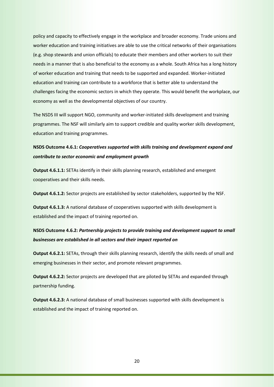policy and capacity to effectively engage in the workplace and broader economy. Trade unions and worker education and training initiatives are able to use the critical networks of their organisations (e.g. shop stewards and union officials) to educate their members and other workers to suit their needs in a manner that is also beneficial to the economy as a whole. South Africa has a long history of worker education and training that needs to be supported and expanded. Worker-initiated education and training can contribute to a workforce that is better able to understand the challenges facing the economic sectors in which they operate. This would benefit the workplace, our economy as well as the developmental objectives of our country.

The NSDS III will support NGO, community and worker-initiated skills development and training programmes. The NSF will similarly aim to support credible and quality worker skills development, education and training programmes.

# **NSDS Outcome 4.6.1:** *Cooperatives supported with skills training and development expand and contribute to sector economic and employment growth*

**Output 4.6.1.1:** SETAs identify in their skills planning research, established and emergent cooperatives and their skills needs.

**Output 4.6.1.2:** Sector projects are established by sector stakeholders, supported by the NSF.

**Output 4.6.1.3:** A national database of cooperatives supported with skills development is established and the impact of training reported on.

# **NSDS Outcome 4.6.2:** *Partnership projects to provide training and development support to small businesses are established in all sectors and their impact reported on*

**Output 4.6.2.1:** SETAs, through their skills planning research, identify the skills needs of small and emerging businesses in their sector, and promote relevant programmes.

**Output 4.6.2.2:** Sector projects are developed that are piloted by SETAs and expanded through partnership funding.

**Output 4.6.2.3:** A national database of small businesses supported with skills development is established and the impact of training reported on.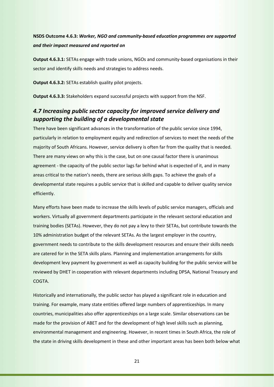# **NSDS Outcome 4.6.3:** *Worker, NGO and community-based education programmes are supported and their impact measured and reported on*

**Output 4.6.3.1:** SETAs engage with trade unions, NGOs and community-based organisations in their sector and identify skills needs and strategies to address needs.

**Output 4.6.3.2:** SETAs establish quality pilot projects.

**Output 4.6.3.3:** Stakeholders expand successful projects with support from the NSF.

# *4.7 Increasing public sector capacity for improved service delivery and supporting the building of a developmental state*

There have been significant advances in the transformation of the public service since 1994, particularly in relation to employment equity and redirection of services to meet the needs of the majority of South Africans. However, service delivery is often far from the quality that is needed. There are many views on why this is the case, but on one causal factor there is unanimous agreement - the capacity of the public sector lags far behind what is expected of it, and in many areas critical to the nation's needs, there are serious skills gaps. To achieve the goals of a developmental state requires a public service that is skilled and capable to deliver quality service efficiently.

Many efforts have been made to increase the skills levels of public service managers, officials and workers. Virtually all government departments participate in the relevant sectoral education and training bodies (SETAs). However, they do not pay a levy to their SETAs, but contribute towards the 10% administration budget of the relevant SETAs. As the largest employer in the country, government needs to contribute to the skills development resources and ensure their skills needs are catered for in the SETA skills plans. Planning and implementation arrangements for skills development levy payment by government as well as capacity building for the public service will be reviewed by DHET in cooperation with relevant departments including DPSA, National Treasury and COGTA.

Historically and internationally, the public sector has played a significant role in education and training. For example, many state entities offered large numbers of apprenticeships. In many countries, municipalities also offer apprenticeships on a large scale. Similar observations can be made for the provision of ABET and for the development of high level skills such as planning, environmental management and engineering. However, in recent times in South Africa, the role of the state in driving skills development in these and other important areas has been both below what

21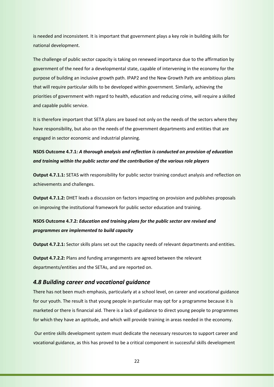is needed and inconsistent. It is important that government plays a key role in building skills for national development.

The challenge of public sector capacity is taking on renewed importance due to the affirmation by government of the need for a developmental state, capable of intervening in the economy for the purpose of building an inclusive growth path. IPAP2 and the New Growth Path are ambitious plans that will require particular skills to be developed within government. Similarly, achieving the priorities of government with regard to health, education and reducing crime, will require a skilled and capable public service.

It is therefore important that SETA plans are based not only on the needs of the sectors where they have responsibility, but also on the needs of the government departments and entities that are engaged in sector economic and industrial planning.

# **NSDS Outcome 4.7.1:** *A thorough analysis and reflection is conducted on provision of education and training within the public sector and the contribution of the various role players*

**Output 4.7.1.1:** SETAS with responsibility for public sector training conduct analysis and reflection on achievements and challenges.

**Output 4.7.1.2:** DHET leads a discussion on factors impacting on provision and publishes proposals on improving the institutional framework for public sector education and training.

# **NSDS Outcome 4.7.2:** *Education and training plans for the public sector are revised and programmes are implemented to build capacity*

**Output 4.7.2.1:** Sector skills plans set out the capacity needs of relevant departments and entities.

**Output 4.7.2.2:** Plans and funding arrangements are agreed between the relevant departments/entities and the SETAs, and are reported on.

#### *4.8 Building career and vocational guidance*

There has not been much emphasis, particularly at a school level, on career and vocational guidance for our youth. The result is that young people in particular may opt for a programme because it is marketed or there is financial aid. There is a lack of guidance to direct young people to programmes for which they have an aptitude, and which will provide training in areas needed in the economy.

 Our entire skills development system must dedicate the necessary resources to support career and vocational guidance, as this has proved to be a critical component in successful skills development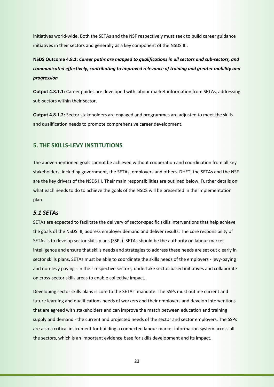initiatives world-wide. Both the SETAs and the NSF respectively must seek to build career guidance initiatives in their sectors and generally as a key component of the NSDS III.

**NSDS Outcome 4.8.1:** *Career paths are mapped to qualifications in all sectors and sub-sectors, and communicated effectively, contributing to improved relevance of training and greater mobility and progression*

**Output 4.8.1.1:** Career guides are developed with labour market information from SETAs, addressing sub-sectors within their sector.

**Output 4.8.1.2:** Sector stakeholders are engaged and programmes are adjusted to meet the skills and qualification needs to promote comprehensive career development.

## **5. THE SKILLS-LEVY INSTITUTIONS**

The above-mentioned goals cannot be achieved without cooperation and coordination from all key stakeholders, including government, the SETAs, employers and others. DHET, the SETAs and the NSF are the key drivers of the NSDS III. Their main responsibilities are outlined below. Further details on what each needs to do to achieve the goals of the NSDS will be presented in the implementation plan.

#### *5.1 SETAs*

SETAs are expected to facilitate the delivery of sector-specific skills interventions that help achieve the goals of the NSDS III, address employer demand and deliver results. The core responsibility of SETAs is to develop sector skills plans (SSPs). SETAs should be the authority on labour market intelligence and ensure that skills needs and strategies to address these needs are set out clearly in sector skills plans. SETAs must be able to coordinate the skills needs of the employers - levy-paying and non-levy paying - in their respective sectors, undertake sector-based initiatives and collaborate on cross-sector skills areas to enable collective impact.

Developing sector skills plans is core to the SETAs' mandate. The SSPs must outline current and future learning and qualifications needs of workers and their employers and develop interventions that are agreed with stakeholders and can improve the match between education and training supply and demand - the current and projected needs of the sector and sector employers. The SSPs are also a critical instrument for building a connected labour market information system across all the sectors, which is an important evidence base for skills development and its impact.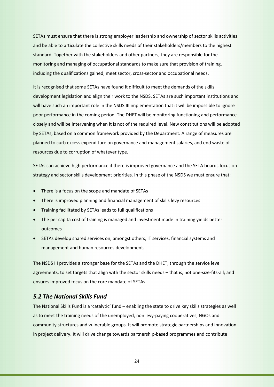SETAs must ensure that there is strong employer leadership and ownership of sector skills activities and be able to articulate the collective skills needs of their stakeholders/members to the highest standard. Together with the stakeholders and other partners, they are responsible for the monitoring and managing of occupational standards to make sure that provision of training, including the qualifications gained, meet sector, cross-sector and occupational needs.

It is recognised that some SETAs have found it difficult to meet the demands of the skills development legislation and align their work to the NSDS. SETAs are such important institutions and will have such an important role in the NSDS III implementation that it will be impossible to ignore poor performance in the coming period. The DHET will be monitoring functioning and performance closely and will be intervening when it is not of the required level. New constitutions will be adopted by SETAs, based on a common framework provided by the Department. A range of measures are planned to curb excess expenditure on governance and management salaries, and end waste of resources due to corruption of whatever type.

SETAs can achieve high performance if there is improved governance and the SETA boards focus on strategy and sector skills development priorities. In this phase of the NSDS we must ensure that:

- There is a focus on the scope and mandate of SETAs
- There is improved planning and financial management of skills levy resources
- Training facilitated by SETAs leads to full qualifications
- The per capita cost of training is managed and investment made in training yields better outcomes
- SETAs develop shared services on, amongst others, IT services, financial systems and management and human resources development.

The NSDS III provides a stronger base for the SETAs and the DHET, through the service level agreements, to set targets that align with the sector skills needs – that is, not one-size-fits-all; and ensures improved focus on the core mandate of SETAs.

#### *5.2 The National Skills Fund*

The National Skills Fund is a 'catalytic' fund – enabling the state to drive key skills strategies as well as to meet the training needs of the unemployed, non levy-paying cooperatives, NGOs and community structures and vulnerable groups. It will promote strategic partnerships and innovation in project delivery. It will drive change towards partnership-based programmes and contribute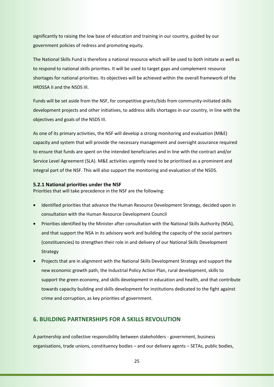significantly to raising the low base of education and training in our country, guided by our government policies of redress and promoting equity.

The National Skills Fund is therefore a national resource which will be used to both initiate as well as to respond to national skills priorities. It will be used to target gaps and complement resource shortages for national priorities. Its objectives will be achieved within the overall framework of the HRDSSA II and the NSDS III.

Funds will be set aside from the NSF, for competitive grants/bids from community-initiated skills development projects and other initiatives, to address skills shortages in our country, in line with the objectives and goals of the NSDS III.

As one of its primary activities, the NSF will develop a strong monitoring and evaluation (M&E) capacity and system that will provide the necessary management and oversight assurance required to ensure that funds are spent on the intended beneficiaries and in line with the contract and/or Service Level Agreement (SLA). M&E activities urgently need to be prioritised as a prominent and integral part of the NSF. This will also support the monitoring and evaluation of the NSDS.

#### **5.2.1 National priorities under the NSF**

Priorities that will take precedence in the NSF are the following:

- Identified priorities that advance the Human Resource Development Strategy, decided upon in consultation with the Human Resource Development Council
- Priorities identified by the Minister after consultation with the National Skills Authority (NSA), and that support the NSA in its advisory work and building the capacity of the social partners (constituencies) to strengthen their role in and delivery of our National Skills Development Strategy
- Projects that are in alignment with the National Skills Development Strategy and support the new economic growth path, the Industrial Policy Action Plan, rural development, skills to support the green economy, and skills development in education and health, and that contribute towards capacity building and skills development for institutions dedicated to the fight against crime and corruption, as key priorities of government.

## **6. BUILDING PARTNERSHIPS FOR A SKILLS REVOLUTION**

A partnership and collective responsibility between stakeholders - government, business organisations, trade unions, constituency bodies – and our delivery agents – SETAs, public bodies,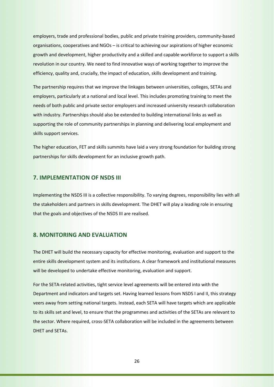employers, trade and professional bodies, public and private training providers, community-based organisations, cooperatives and NGOs – is critical to achieving our aspirations of higher economic growth and development, higher productivity and a skilled and capable workforce to support a skills revolution in our country. We need to find innovative ways of working together to improve the efficiency, quality and, crucially, the impact of education, skills development and training.

The partnership requires that we improve the linkages between universities, colleges, SETAs and employers, particularly at a national and local level. This includes promoting training to meet the needs of both public and private sector employers and increased university research collaboration with industry. Partnerships should also be extended to building international links as well as supporting the role of community partnerships in planning and delivering local employment and skills support services.

The higher education, FET and skills summits have laid a very strong foundation for building strong partnerships for skills development for an inclusive growth path.

#### **7. IMPLEMENTATION OF NSDS III**

Implementing the NSDS III is a collective responsibility. To varying degrees, responsibility lies with all the stakeholders and partners in skills development. The DHET will play a leading role in ensuring that the goals and objectives of the NSDS III are realised.

## **8. MONITORING AND EVALUATION**

The DHET will build the necessary capacity for effective monitoring, evaluation and support to the entire skills development system and its institutions. A clear framework and institutional measures will be developed to undertake effective monitoring, evaluation and support.

For the SETA-related activities, tight service level agreements will be entered into with the Department and indicators and targets set. Having learned lessons from NSDS I and II, this strategy veers away from setting national targets. Instead, each SETA will have targets which are applicable to its skills set and level, to ensure that the programmes and activities of the SETAs are relevant to the sector. Where required, cross-SETA collaboration will be included in the agreements between DHET and SETAs.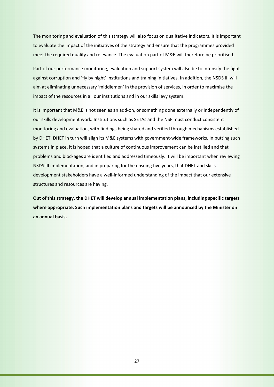The monitoring and evaluation of this strategy will also focus on qualitative indicators. It is important to evaluate the impact of the initiatives of the strategy and ensure that the programmes provided meet the required quality and relevance. The evaluation part of M&E will therefore be prioritised.

Part of our performance monitoring, evaluation and support system will also be to intensify the fight against corruption and 'fly by night' institutions and training initiatives. In addition, the NSDS III will aim at eliminating unnecessary 'middlemen' in the provision of services, in order to maximise the impact of the resources in all our institutions and in our skills levy system.

It is important that M&E is not seen as an add-on, or something done externally or independently of our skills development work. Institutions such as SETAs and the NSF must conduct consistent monitoring and evaluation, with findings being shared and verified through mechanisms established by DHET. DHET in turn will align its M&E systems with government-wide frameworks. In putting such systems in place, it is hoped that a culture of continuous improvement can be instilled and that problems and blockages are identified and addressed timeously. It will be important when reviewing NSDS III implementation, and in preparing for the ensuing five years, that DHET and skills development stakeholders have a well-informed understanding of the impact that our extensive structures and resources are having.

**Out of this strategy, the DHET will develop annual implementation plans, including specific targets where appropriate. Such implementation plans and targets will be announced by the Minister on an annual basis.**